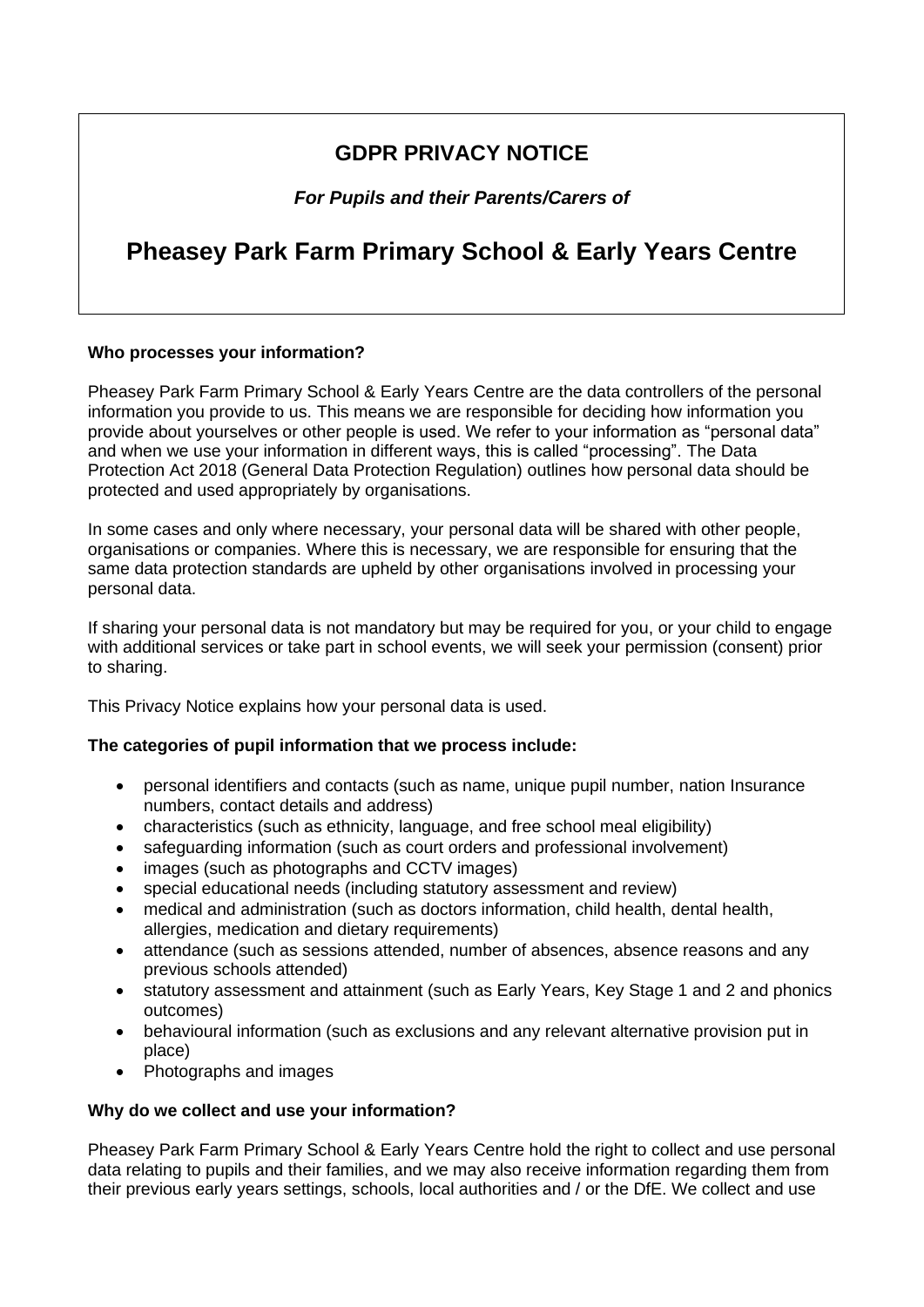# **GDPR PRIVACY NOTICE**

*For Pupils and their Parents/Carers of*

# **Pheasey Park Farm Primary School & Early Years Centre**

#### **Who processes your information?**

Pheasey Park Farm Primary School & Early Years Centre are the data controllers of the personal information you provide to us. This means we are responsible for deciding how information you provide about yourselves or other people is used. We refer to your information as "personal data" and when we use your information in different ways, this is called "processing". The Data Protection Act 2018 (General Data Protection Regulation) outlines how personal data should be protected and used appropriately by organisations.

In some cases and only where necessary, your personal data will be shared with other people, organisations or companies. Where this is necessary, we are responsible for ensuring that the same data protection standards are upheld by other organisations involved in processing your personal data.

If sharing your personal data is not mandatory but may be required for you, or your child to engage with additional services or take part in school events, we will seek your permission (consent) prior to sharing.

This Privacy Notice explains how your personal data is used.

## **The categories of pupil information that we process include:**

- personal identifiers and contacts (such as name, unique pupil number, nation Insurance numbers, contact details and address)
- characteristics (such as ethnicity, language, and free school meal eligibility)
- safeguarding information (such as court orders and professional involvement)
- images (such as photographs and CCTV images)
- special educational needs (including statutory assessment and review)
- medical and administration (such as doctors information, child health, dental health, allergies, medication and dietary requirements)
- attendance (such as sessions attended, number of absences, absence reasons and any previous schools attended)
- statutory assessment and attainment (such as Early Years, Key Stage 1 and 2 and phonics outcomes)
- behavioural information (such as exclusions and any relevant alternative provision put in place)
- Photographs and images

#### **Why do we collect and use your information?**

Pheasey Park Farm Primary School & Early Years Centre hold the right to collect and use personal data relating to pupils and their families, and we may also receive information regarding them from their previous early years settings, schools, local authorities and / or the DfE. We collect and use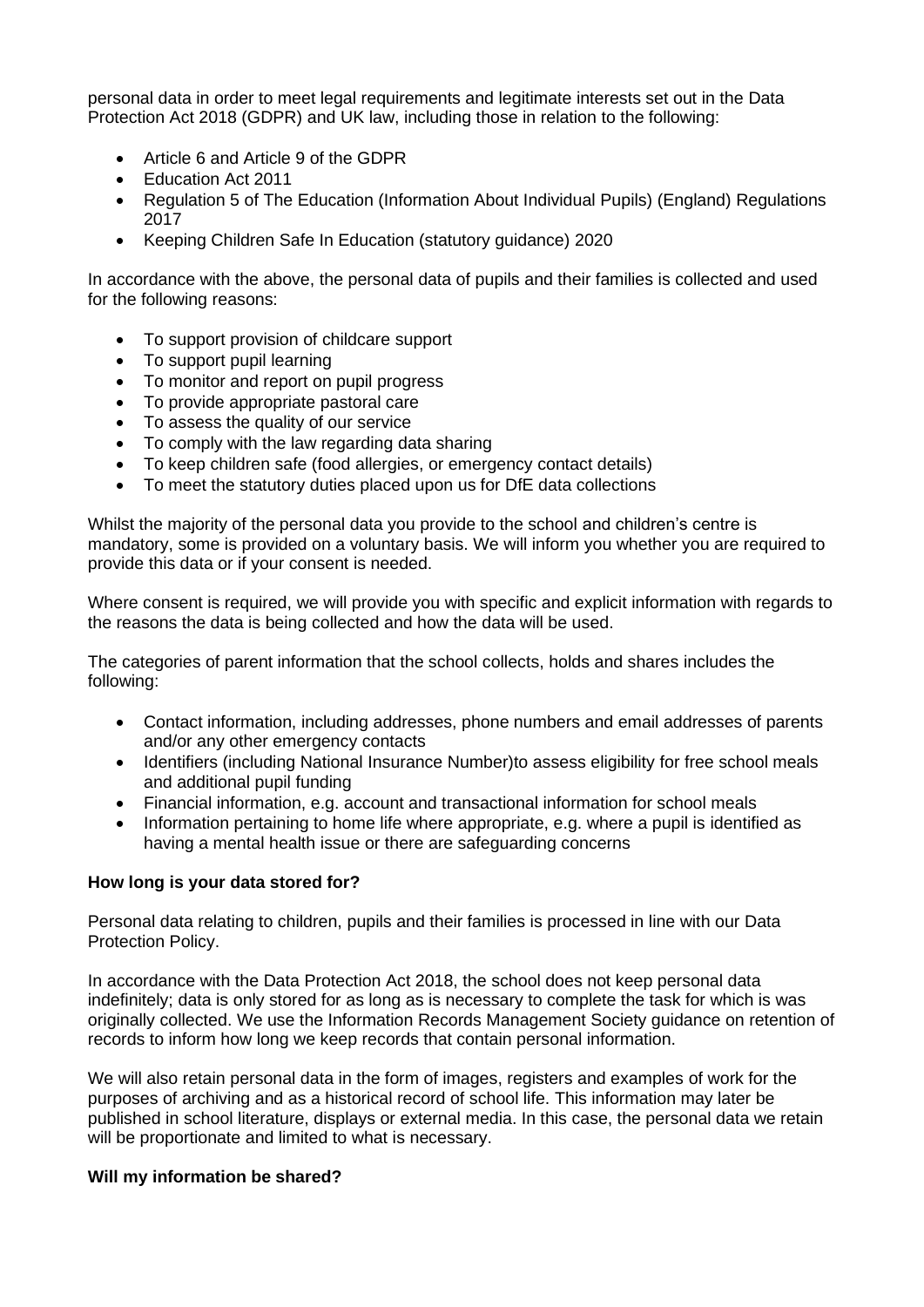personal data in order to meet legal requirements and legitimate interests set out in the Data Protection Act 2018 (GDPR) and UK law, including those in relation to the following:

- Article 6 and Article 9 of the GDPR
- Education Act 2011
- Regulation 5 of The Education (Information About Individual Pupils) (England) Regulations 2017
- Keeping Children Safe In Education (statutory guidance) 2020

In accordance with the above, the personal data of pupils and their families is collected and used for the following reasons:

- To support provision of childcare support
- To support pupil learning
- To monitor and report on pupil progress
- To provide appropriate pastoral care
- To assess the quality of our service
- To comply with the law regarding data sharing
- To keep children safe (food allergies, or emergency contact details)
- To meet the statutory duties placed upon us for DfE data collections

Whilst the majority of the personal data you provide to the school and children's centre is mandatory, some is provided on a voluntary basis. We will inform you whether you are required to provide this data or if your consent is needed.

Where consent is required, we will provide you with specific and explicit information with regards to the reasons the data is being collected and how the data will be used.

The categories of parent information that the school collects, holds and shares includes the following:

- Contact information, including addresses, phone numbers and email addresses of parents and/or any other emergency contacts
- Identifiers (including National Insurance Number)to assess eligibility for free school meals and additional pupil funding
- Financial information, e.g. account and transactional information for school meals
- Information pertaining to home life where appropriate, e.g. where a pupil is identified as having a mental health issue or there are safeguarding concerns

#### **How long is your data stored for?**

Personal data relating to children, pupils and their families is processed in line with our Data Protection Policy.

In accordance with the Data Protection Act 2018, the school does not keep personal data indefinitely; data is only stored for as long as is necessary to complete the task for which is was originally collected. We use the Information Records Management Society guidance on retention of records to inform how long we keep records that contain personal information.

We will also retain personal data in the form of images, registers and examples of work for the purposes of archiving and as a historical record of school life. This information may later be published in school literature, displays or external media. In this case, the personal data we retain will be proportionate and limited to what is necessary.

#### **Will my information be shared?**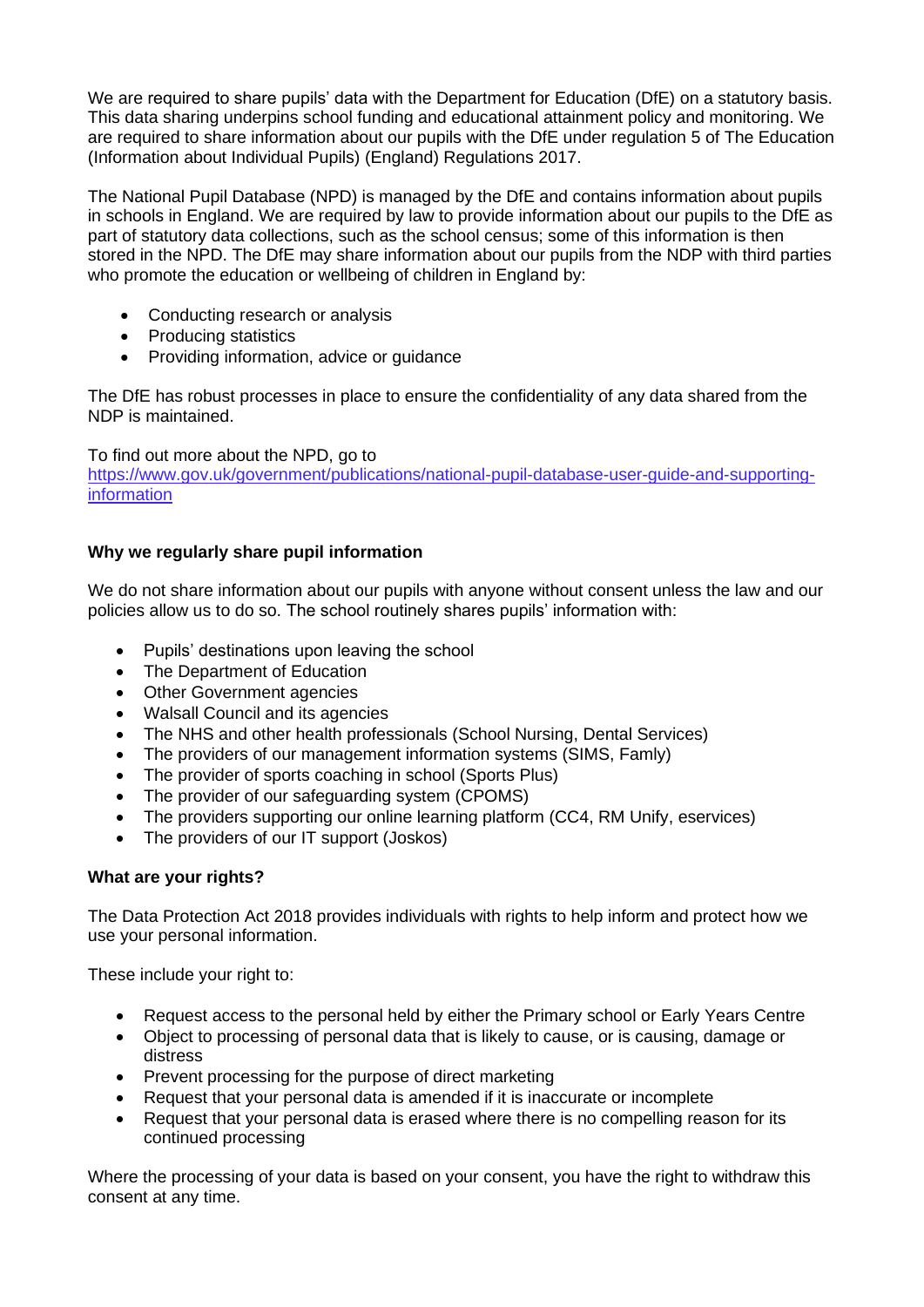We are required to share pupils' data with the Department for Education (DfE) on a statutory basis. This data sharing underpins school funding and educational attainment policy and monitoring. We are required to share information about our pupils with the DfE under regulation 5 of The Education (Information about Individual Pupils) (England) Regulations 2017.

The National Pupil Database (NPD) is managed by the DfE and contains information about pupils in schools in England. We are required by law to provide information about our pupils to the DfE as part of statutory data collections, such as the school census; some of this information is then stored in the NPD. The DfE may share information about our pupils from the NDP with third parties who promote the education or wellbeing of children in England by:

- Conducting research or analysis
- Producing statistics
- Providing information, advice or guidance

The DfE has robust processes in place to ensure the confidentiality of any data shared from the NDP is maintained.

To find out more about the NPD, go to

https://www.gov.uk/government/publications/national-pupil-database-user-guide-and-supportinginformation

# **Why we regularly share pupil information**

We do not share information about our pupils with anyone without consent unless the law and our policies allow us to do so. The school routinely shares pupils' information with:

- Pupils' destinations upon leaving the school
- The Department of Education
- Other Government agencies
- Walsall Council and its agencies
- The NHS and other health professionals (School Nursing, Dental Services)
- The providers of our management information systems (SIMS, Famly)
- The provider of sports coaching in school (Sports Plus)
- The provider of our safeguarding system (CPOMS)
- The providers supporting our online learning platform (CC4, RM Unify, eservices)
- The providers of our IT support (Joskos)

## **What are your rights?**

The Data Protection Act 2018 provides individuals with rights to help inform and protect how we use your personal information.

These include your right to:

- Request access to the personal held by either the Primary school or Early Years Centre
- Object to processing of personal data that is likely to cause, or is causing, damage or distress
- Prevent processing for the purpose of direct marketing
- Request that your personal data is amended if it is inaccurate or incomplete
- Request that your personal data is erased where there is no compelling reason for its continued processing

Where the processing of your data is based on your consent, you have the right to withdraw this consent at any time.